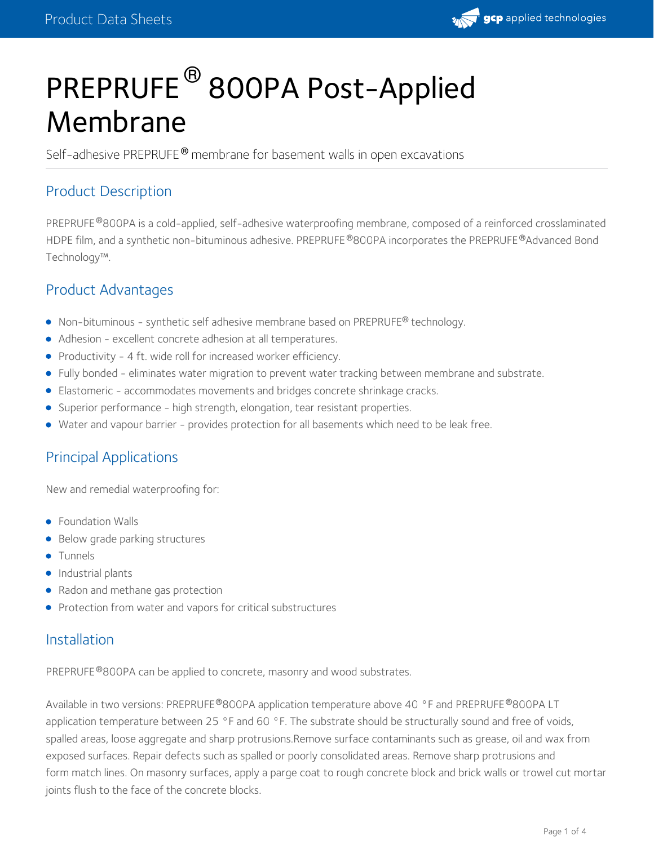

# PREPRUFE ® 800PA Post-Applied Membrane

Self-adhesive PREPRUFE® membrane for basement walls in open excavations

## Product Description

PREPRUFE®800PA is a cold-applied, self-adhesive waterproofing membrane, composed of a reinforced crosslaminated HDPE film, and a synthetic non-bituminous adhesive. PREPRUFE®800PA incorporates the PREPRUFE®Advanced Bond Technology™.

## Product Advantages

- $\bullet$  Non-bituminous synthetic self adhesive membrane based on PREPRUFE® technology.
- Adhesion excellent concrete adhesion at all temperatures.
- Productivity 4 ft. wide roll for increased worker efficiency.
- Fully bonded eliminates water migration to prevent water tracking between membrane and substrate.
- Elastomeric accommodates movements and bridges concrete shrinkage cracks.
- Superior performance high strength, elongation, tear resistant properties.
- Water and vapour barrier provides protection for all basements which need to be leak free.

## Principal Applications

New and remedial waterproofing for:

- Foundation Walls
- Below grade parking structures
- **•** Tunnels
- Industrial plants
- Radon and methane gas protection
- Protection from water and vapors for critical substructures

#### Installation

PREPRUFE®800PA can be applied to concrete, masonry and wood substrates.

Available in two versions: PREPRUFE®800PA application temperature above 40 °F and PREPRUFE®800PA LT application temperature between 25 °F and 60 °F. The substrate should be structurally sound and free of voids, spalled areas, loose aggregate and sharp protrusions.Remove surface contaminants such as grease, oil and wax from exposed surfaces. Repair defects such as spalled or poorly consolidated areas. Remove sharp protrusions and form match lines. On masonry surfaces, apply a parge coat to rough concrete block and brick walls or trowel cut mortar joints flush to the face of the concrete blocks.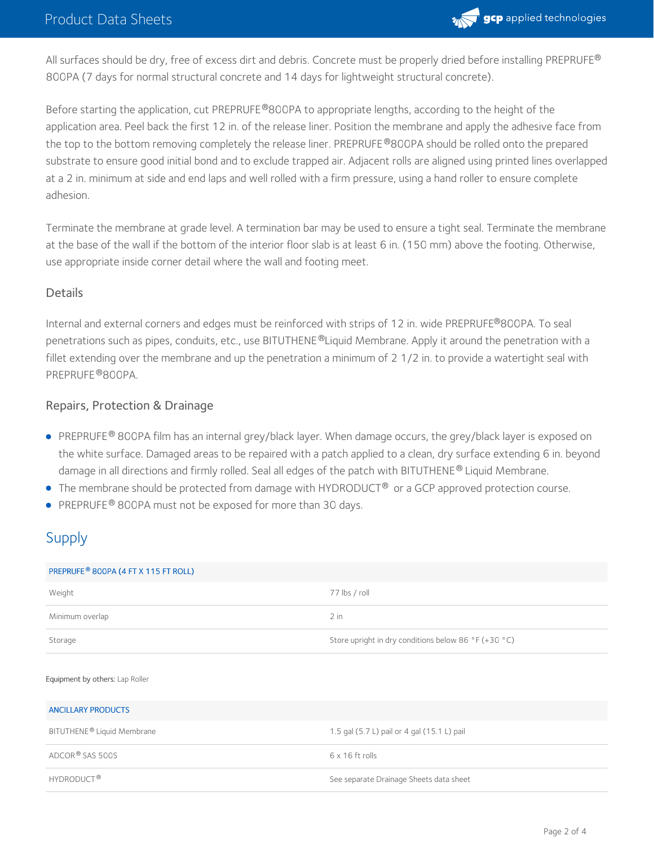

All surfaces should be dry, free of excess dirt and debris. Concrete must be properly dried before installing <code>PREPRUFE®</code> 800PA (7 days for normal structural concrete and 14 days for lightweight structural concrete).

Before starting the application, cut PREPRUFE®800PA to appropriate lengths, according to the height of the application area. Peel back the first 12 in. of the release liner. Position the membrane and apply the adhesive face from the top to the bottom removing completely the release liner. PREPRUFE®800PA should be rolled onto the prepared substrate to ensure good initial bond and to exclude trapped air. Adjacent rolls are aligned using printed lines overlapped at a 2 in. minimum at side and end laps and well rolled with a firm pressure, using a hand roller to ensure complete adhesion.

Terminate the membrane at grade level. A termination bar may be used to ensure a tight seal. Terminate the membrane at the base of the wall if the bottom of the interior floor slab is at least 6 in. (150 mm) above the footing. Otherwise, use appropriate inside corner detail where the wall and footing meet.

#### **Details**

Internal and external corners and edges must be reinforced with strips of 12 in. wide PREPRUFE®800PA. To seal penetrations such as pipes, conduits, etc., use BITUTHENE®Liquid Membrane. Apply it around the penetration with a fillet extending over the membrane and up the penetration a minimum of 2 1/2 in. to provide a watertight seal with PREPRUFE®800PA.

#### Repairs, Protection & Drainage

- PREPRUFE® 800PA film has an internal grey/black layer. When damage occurs, the grey/black layer is exposed on the white surface. Damaged areas to be repaired with a patch applied to a clean, dry surface extending 6 in. beyond damage in all directions and firmly rolled. Seal all edges of the patch with BITUTHENE® Liquid Membrane.  $\,$
- $\bullet$  The membrane should be protected from damage with HYDRODUCT® or a GCP approved protection course.
- PREPRUFE® 800PA must not be exposed for more than 30 days.

## Supply

| PREPRUFE <sup>®</sup> 800PA (4 FT X 115 FT ROLL) |                                                      |  |
|--------------------------------------------------|------------------------------------------------------|--|
| Weight                                           | 77 lbs / roll                                        |  |
| Minimum overlap                                  | $2$ in                                               |  |
| Storage                                          | Store upright in dry conditions below 86 °F (+30 °C) |  |
| Equipment by others: Lap Roller                  |                                                      |  |
| <b>ANCILLARY PRODUCTS</b>                        |                                                      |  |
| BITUTHENE® Liquid Membrane                       | 1.5 gal (5.7 L) pail or 4 gal (15.1 L) pail          |  |
| ADCOR® SAS 500S                                  | $6 \times 16$ ft rolls                               |  |
| HYDRODUCT <sup>®</sup>                           | See separate Drainage Sheets data sheet              |  |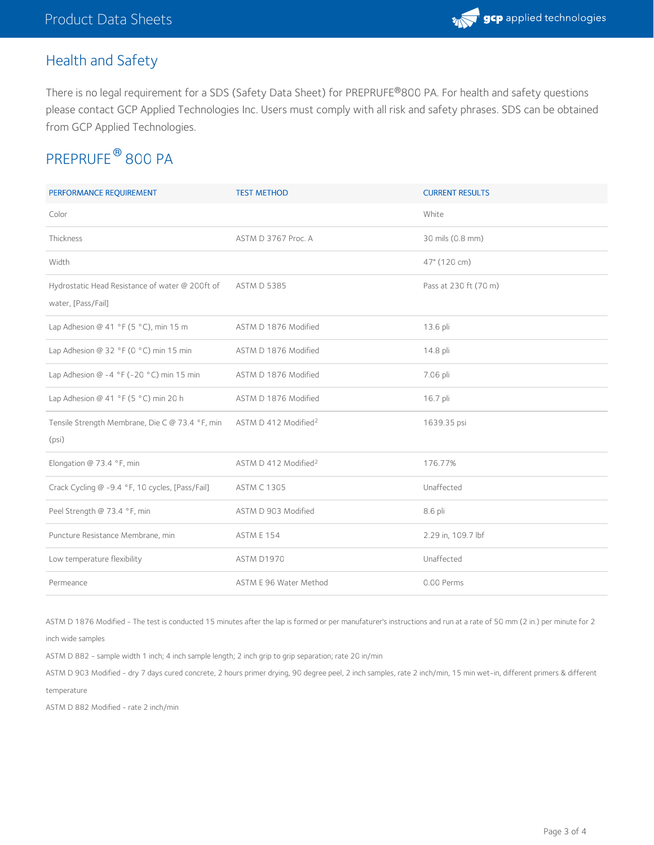# Health and Safety

There is no legal requirement for a SDS (Safety Data Sheet) for PREPRUFE®800 PA. For health and safety questions please contact GCP Applied Technologies Inc. Users must comply with all risk and safety phrases. SDS can be obtained from GCP Applied Technologies.

# PREPRUFE® 800 PA

| PERFORMANCE REQUIREMENT                                               | <b>TEST METHOD</b>               | <b>CURRENT RESULTS</b> |
|-----------------------------------------------------------------------|----------------------------------|------------------------|
| Color                                                                 |                                  | White                  |
| Thickness                                                             | ASTM D 3767 Proc. A              | 30 mils (0.8 mm)       |
| Width                                                                 |                                  | 47" (120 cm)           |
| Hydrostatic Head Resistance of water @ 200ft of<br>water, [Pass/Fail] | <b>ASTM D 5385</b>               | Pass at 230 ft (70 m)  |
| Lap Adhesion @ 41 °F (5 °C), min 15 m                                 | ASTM D 1876 Modified             | 13.6 pli               |
| Lap Adhesion @ 32 °F (0 °C) min 15 min                                | ASTM D 1876 Modified             | 14.8 pli               |
| Lap Adhesion @ -4 °F (-20 °C) min 15 min                              | ASTM D 1876 Modified             | 7.06 pli               |
| Lap Adhesion @ 41 °F (5 °C) min 20 h                                  | ASTM D 1876 Modified             | 16.7 pli               |
| Tensile Strength Membrane, Die C @ 73.4 °F, min<br>(psi)              | ASTM D 412 Modified <sup>2</sup> | 1639.35 psi            |
| Elongation @ 73.4 °F, min                                             | ASTM D 412 Modified <sup>2</sup> | 176.77%                |
| Crack Cycling @ -9.4 °F, 10 cycles, [Pass/Fail]                       | <b>ASTM C 1305</b>               | Unaffected             |
| Peel Strength @ 73.4 °F, min                                          | ASTM D 903 Modified              | 8.6 pli                |
| Puncture Resistance Membrane, min                                     | ASTM E 154                       | 2.29 in, 109.7 lbf     |
| Low temperature flexibility                                           | ASTM D1970                       | Unaffected             |
| Permeance                                                             | ASTM E 96 Water Method           | 0.00 Perms             |

ASTM D 1876 Modified - The test is conducted 15 minutes after the lap is formed or per manufaturer's instructions and run at a rate of 50 mm (2 in.) per minute for 2

inch wide samples

ASTM D 882 - sample width 1 inch; 4 inch sample length; 2 inch grip to grip separation; rate 20 in/min

ASTM D 903 Modified - dry 7 days cured concrete, 2 hours primer drying, 90 degree peel, 2 inch samples, rate 2 inch/min, 15 min wet-in, different primers & different temperature

ASTM D 882 Modified - rate 2 inch/min